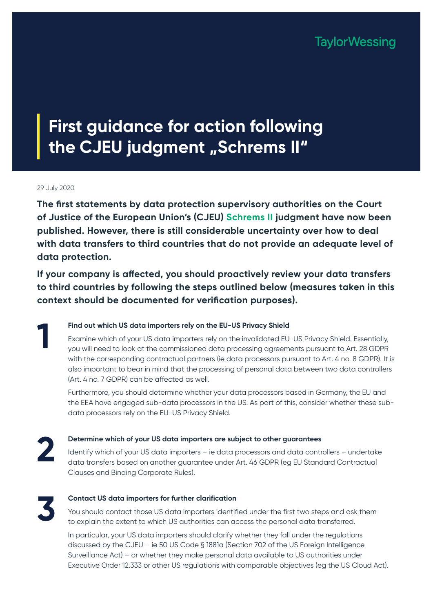**TaylorWessing** 

# **First guidance for action following the CJEU judgment "Schrems II"**

#### 29 July 2020

**The first statements by data protection supervisory authorities on the Court of Justice of the European Union's (CJEU) [Schrems II](http://curia.europa.eu/juris/document/document.jsf?text=&docid=228677&pageIndex=0&doclang=EN&mode=lst&dir=&occ=first&part=1&cid=11425088) judgment have now been published. However, there is still considerable uncertainty over how to deal with data transfers to third countries that do not provide an adequate level of data protection.**

**If your company is affected, you should proactively review your data transfers to third countries by following the steps outlined below (measures taken in this context should be documented for verification purposes).**

**Find out which US data importers rely on the EU-US Privacy Shield** Examine which of your US data importers rely on the invalidated EU-US Privacy Shield. Essentially, you will need to look at the commissioned data processing agreements pursuant to Art. 28 GDPR with the corresponding contractual partners (ie data processors pursuant to Art. 4 no. 8 GDPR). It is also important to bear in mind that the processing of personal data between two data controllers (Art. 4 no. 7 GDPR) can be affected as well.

Furthermore, you should determine whether your data processors based in Germany, the EU and the EEA have engaged sub-data processors in the US. As part of this, consider whether these subdata processors rely on the EU-US Privacy Shield.

**2**

**1**

#### **Determine which of your US data importers are subject to other guarantees**

Identify which of your US data importers – ie data processors and data controllers – undertake data transfers based on another guarantee under Art. 46 GDPR (eg EU Standard Contractual Clauses and Binding Corporate Rules).

**3**

#### **Contact US data importers for further clarification**

You should contact those US data importers identified under the first two steps and ask them to explain the extent to which US authorities can access the personal data transferred.

In particular, your US data importers should clarify whether they fall under the regulations discussed by the CJEU – ie 50 US Code § 1881a (Section 702 of the US Foreign Intelligence Surveillance Act) – or whether they make personal data available to US authorities under Executive Order 12.333 or other US regulations with comparable objectives (eg the US Cloud Act).